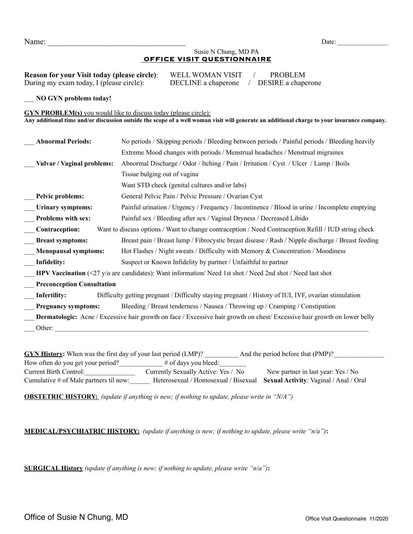Name: Letters and the set of the set of the set of the set of the set of the set of the set of the set of the set of the set of the set of the set of the set of the set of the set of the set of the set of the set of the se

## Susie N Chung, MD PA  **OFFICE VISIT QUESTIONNAIRE**

| <b>Reason for your Visit today (please circle):</b> |  |
|-----------------------------------------------------|--|
| During my exam today, I (please circle):            |  |

WELL WOMAN VISIT / PROBLEM  $\text{DECLINE}$  a chaperone / DESIRE a chaperone

\_\_\_ **NO GYN problems today!**

## **GYN PROBLEM(s)** you would like to discuss today (please circle):

**Any additional time and/or discussion outside the scope of a well woman visit will generate an additional charge to your insurance company.** 

| <b>Abnormal Periods:</b>                                                                                                         | No periods / Skipping periods / Bleeding between periods / Painful periods / Bleeding heavily         |  |  |  |  |  |
|----------------------------------------------------------------------------------------------------------------------------------|-------------------------------------------------------------------------------------------------------|--|--|--|--|--|
| Extreme Mood changes with periods / Menstrual headaches / Menstrual migraines                                                    |                                                                                                       |  |  |  |  |  |
| Abnormal Discharge / Odor / Itching / Pain / Irritation / Cyst / Ulcer / Lump / Boils<br><b>Vulvar / Vaginal problems:</b>       |                                                                                                       |  |  |  |  |  |
| Tissue bulging out of vagina                                                                                                     |                                                                                                       |  |  |  |  |  |
| Want STD check (genital cultures and/or labs)                                                                                    |                                                                                                       |  |  |  |  |  |
| General Pelvic Pain / Pelvic Pressure / Ovarian Cyst<br>Pelvic problems:                                                         |                                                                                                       |  |  |  |  |  |
| Painful urination / Urgency / Frequency / Incontinence / Blood in urine / Incomplete emptying<br>Urinary symptoms:               |                                                                                                       |  |  |  |  |  |
| Problems with sex:<br>Painful sex / Bleeding after sex / Vaginal Dryness / Decreased Libido                                      |                                                                                                       |  |  |  |  |  |
| Contraception:                                                                                                                   | Want to discuss options / Want to change contraception / Need Contraception Refill / IUD string check |  |  |  |  |  |
| <b>Breast symptoms:</b><br>Breast pain / Breast lump / Fibrocystic breast disease / Rash / Nipple discharge / Breast feeding     |                                                                                                       |  |  |  |  |  |
| Hot Flashes / Night sweats / Difficulty with Memory & Concentration / Moodiness<br><b>Menopausal symptoms:</b>                   |                                                                                                       |  |  |  |  |  |
| Infidelity:<br>Suspect or Known Infidelity by partner / Unfaithful to partner                                                    |                                                                                                       |  |  |  |  |  |
| <b>HPV Vaccination</b> (<27 y/o are candidates): Want information/ Need 1st shot / Need 2nd shot / Need last shot                |                                                                                                       |  |  |  |  |  |
| <b>Preconception Consultation</b>                                                                                                |                                                                                                       |  |  |  |  |  |
| Infertility:<br>Difficulty getting pregnant / Difficulty staying pregnant / History of IUI, IVF, ovarian stimulation             |                                                                                                       |  |  |  |  |  |
| Bleeding / Breast tenderness / Nausea / Throwing up / Cramping / Constipation<br><b>Pregnancy symptoms:</b>                      |                                                                                                       |  |  |  |  |  |
| <b>Dermatologic:</b> Acne / Excessive hair growth on face / Excessive hair growth on chest/ Excessive hair growth on lower belly |                                                                                                       |  |  |  |  |  |
| Other:                                                                                                                           |                                                                                                       |  |  |  |  |  |

**GYN History:** When was the first day of your last period (LMP)? \_\_\_\_\_\_\_\_\_\_\_\_\_\_\_\_\_ And the period before that (PMP)? How often do you get your period?<br> $\frac{4}{100}$  # of days you bleed: Current Birth Control: Currently Sexually Active: Yes / No New partner in last year: Yes / No Cumulative # of Male partners til now:\_\_\_\_\_\_ Heterosexual / Homosexual / Bisexual **Sexual Activity**: Vaginal / Anal / Oral

**OBSTETRIC HISTORY:** *(update if anything is new; if nothing to update, please write in "N/A")*

**MEDICAL/PSYCHIATRIC HISTORY:** *(update if anything is new; if nothing to update, please write "n/a")***:** 

**SURGICAL History** *(update if anything is new; if nothing to update, please write "n/a")***:**